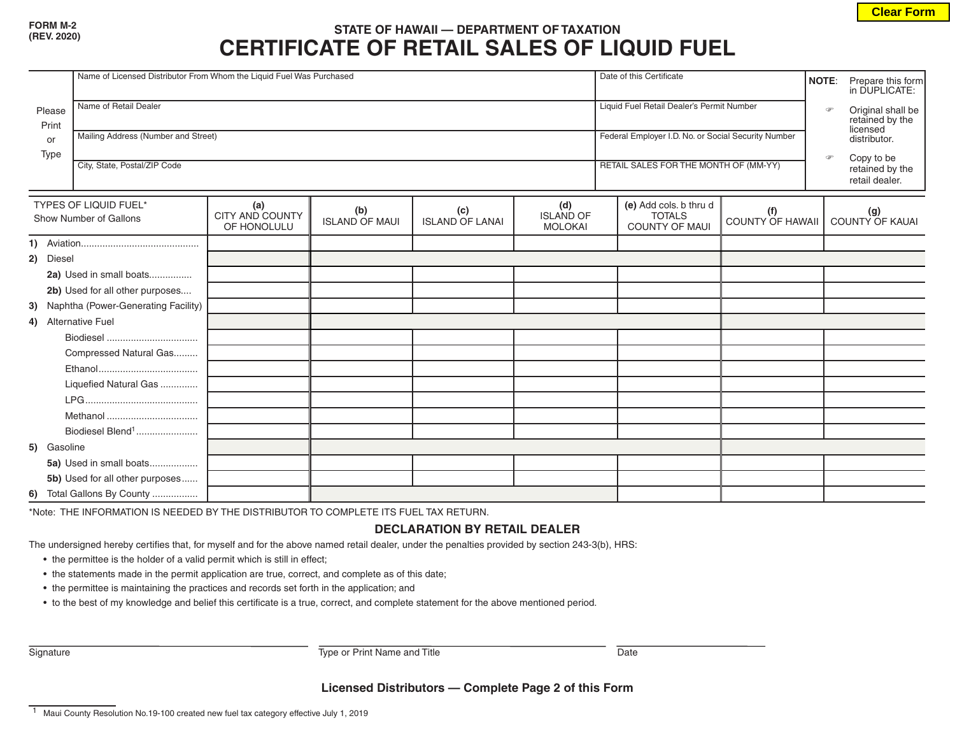## **FORM M-2**

|                                                 | Name of Licensed Distributor From Whom the Liquid Fuel Was Purchased |                                       |                              |                               |                                           |  | Date of this Certificate                                         |                                |          | NOTE:<br>Prepare this form<br>in DUPLICATE:                |
|-------------------------------------------------|----------------------------------------------------------------------|---------------------------------------|------------------------------|-------------------------------|-------------------------------------------|--|------------------------------------------------------------------|--------------------------------|----------|------------------------------------------------------------|
| Please<br>Print<br>or<br>Type                   | Name of Retail Dealer                                                |                                       |                              |                               |                                           |  | Liquid Fuel Retail Dealer's Permit Number                        |                                | $\sigma$ | Original shall be<br>retained by the<br>licensed           |
|                                                 | Mailing Address (Number and Street)                                  |                                       |                              |                               |                                           |  | Federal Employer I.D. No. or Social Security Number              |                                |          | distributor.                                               |
|                                                 | City, State, Postal/ZIP Code                                         |                                       |                              |                               |                                           |  | RETAIL SALES FOR THE MONTH OF (MM-YY)                            |                                |          | Copy to be<br>$\circ$<br>retained by the<br>retail dealer. |
| TYPES OF LIQUID FUEL*<br>Show Number of Gallons |                                                                      | (a)<br>CITY AND COUNTY<br>OF HONOLULU | (b)<br><b>ISLAND OF MAUL</b> | (c)<br><b>ISLAND OF LANAI</b> | (d)<br><b>ISLAND OF</b><br><b>MOLOKAI</b> |  | (e) Add cols. b thru d<br><b>TOTALS</b><br><b>COUNTY OF MAUI</b> | (f)<br><b>COUNTY OF HAWAII</b> |          | (g)<br>COUNTY OF KAUAI                                     |
|                                                 |                                                                      |                                       |                              |                               |                                           |  |                                                                  |                                |          |                                                            |
| 2) Diesel                                       |                                                                      |                                       |                              |                               |                                           |  |                                                                  |                                |          |                                                            |
| 2a) Used in small boats                         |                                                                      |                                       |                              |                               |                                           |  |                                                                  |                                |          |                                                            |
|                                                 | 2b) Used for all other purposes                                      |                                       |                              |                               |                                           |  |                                                                  |                                |          |                                                            |
|                                                 | 3) Naphtha (Power-Generating Facility)                               |                                       |                              |                               |                                           |  |                                                                  |                                |          |                                                            |
|                                                 | 4) Alternative Fuel                                                  |                                       |                              |                               |                                           |  |                                                                  |                                |          |                                                            |
|                                                 |                                                                      |                                       |                              |                               |                                           |  |                                                                  |                                |          |                                                            |
|                                                 | Compressed Natural Gas                                               |                                       |                              |                               |                                           |  |                                                                  |                                |          |                                                            |
|                                                 |                                                                      |                                       |                              |                               |                                           |  |                                                                  |                                |          |                                                            |
|                                                 | Liquefied Natural Gas                                                |                                       |                              |                               |                                           |  |                                                                  |                                |          |                                                            |
|                                                 |                                                                      |                                       |                              |                               |                                           |  |                                                                  |                                |          |                                                            |
|                                                 |                                                                      |                                       |                              |                               |                                           |  |                                                                  |                                |          |                                                            |
|                                                 | Biodiesel Blend <sup>1</sup>                                         |                                       |                              |                               |                                           |  |                                                                  |                                |          |                                                            |
| 5) Gasoline                                     |                                                                      |                                       |                              |                               |                                           |  |                                                                  |                                |          |                                                            |
|                                                 | 5a) Used in small boats                                              |                                       |                              |                               |                                           |  |                                                                  |                                |          |                                                            |
|                                                 | 5b) Used for all other purposes                                      |                                       |                              |                               |                                           |  |                                                                  |                                |          |                                                            |
|                                                 | 6) Total Gallons By County                                           |                                       |                              |                               |                                           |  |                                                                  |                                |          |                                                            |

\*Note: THE INFORMATION IS NEEDED BY THE DISTRIBUTOR TO COMPLETE ITS FUEL TAX RETURN.

## **DECLARATION BY RETAIL DEALER**

The undersigned hereby certifies that, for myself and for the above named retail dealer, under the penalties provided by section 243-3(b), HRS:

- the permittee is the holder of a valid permit which is still in effect;
- the statements made in the permit application are true, correct, and complete as of this date;
- the permittee is maintaining the practices and records set forth in the application; and
- to the best of my knowledge and belief this certificate is a true, correct, and complete statement for the above mentioned period.

Signature **Type or Print Name and Title** Date

**Licensed Distributors — Complete Page 2 of this Form**